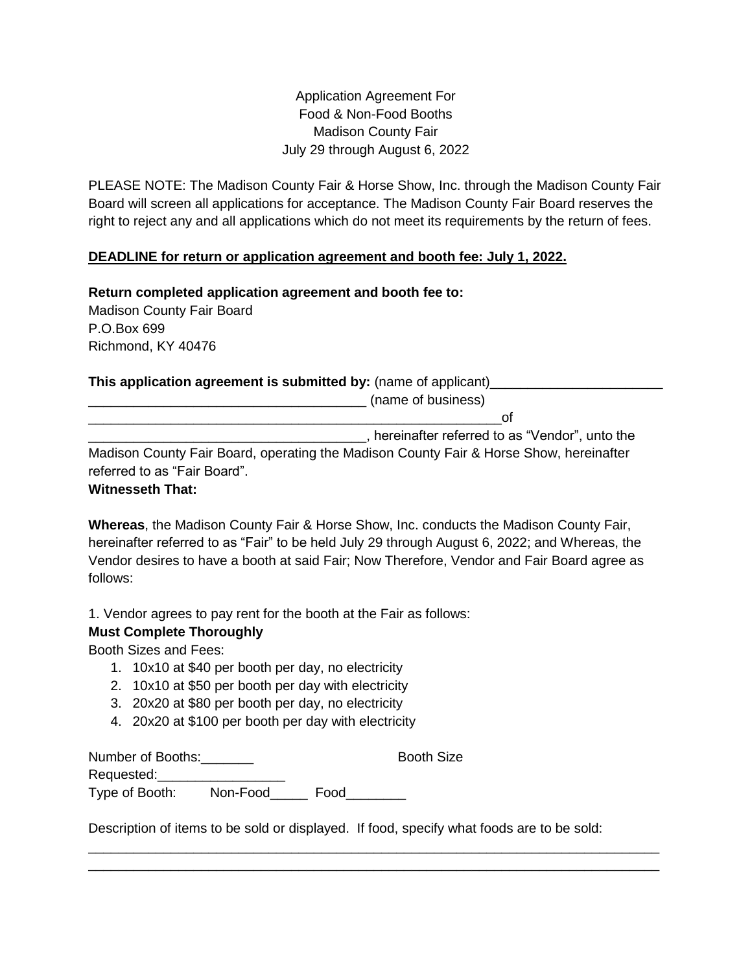Application Agreement For Food & Non-Food Booths Madison County Fair July 29 through August 6, 2022

PLEASE NOTE: The Madison County Fair & Horse Show, Inc. through the Madison County Fair Board will screen all applications for acceptance. The Madison County Fair Board reserves the right to reject any and all applications which do not meet its requirements by the return of fees.

## **DEADLINE for return or application agreement and booth fee: July 1, 2022.**

**Return completed application agreement and booth fee to:** Madison County Fair Board P.O.Box 699 Richmond, KY 40476

## **This application agreement is submitted by:** (name of applicant)

|                                                                                        | (name of business)                              |
|----------------------------------------------------------------------------------------|-------------------------------------------------|
|                                                                                        | Ωt                                              |
|                                                                                        | , hereinafter referred to as "Vendor", unto the |
| Madison County Fair Board, operating the Madison County Fair & Horse Show, hereinafter |                                                 |
| referred to as "Fair Board".                                                           |                                                 |

## **Witnesseth That:**

**Whereas**, the Madison County Fair & Horse Show, Inc. conducts the Madison County Fair, hereinafter referred to as "Fair" to be held July 29 through August 6, 2022; and Whereas, the Vendor desires to have a booth at said Fair; Now Therefore, Vendor and Fair Board agree as follows:

1. Vendor agrees to pay rent for the booth at the Fair as follows:

## **Must Complete Thoroughly**

Booth Sizes and Fees:

- 1. 10x10 at \$40 per booth per day, no electricity
- 2. 10x10 at \$50 per booth per day with electricity
- 3. 20x20 at \$80 per booth per day, no electricity
- 4. 20x20 at \$100 per booth per day with electricity

| Number of Booths: |          |      | <b>Booth Size</b> |
|-------------------|----------|------|-------------------|
| Requested:        |          |      |                   |
| Type of Booth:    | Non-Food | Food |                   |

Description of items to be sold or displayed. If food, specify what foods are to be sold:

\_\_\_\_\_\_\_\_\_\_\_\_\_\_\_\_\_\_\_\_\_\_\_\_\_\_\_\_\_\_\_\_\_\_\_\_\_\_\_\_\_\_\_\_\_\_\_\_\_\_\_\_\_\_\_\_\_\_\_\_\_\_\_\_\_\_\_\_\_\_\_\_\_\_\_\_ \_\_\_\_\_\_\_\_\_\_\_\_\_\_\_\_\_\_\_\_\_\_\_\_\_\_\_\_\_\_\_\_\_\_\_\_\_\_\_\_\_\_\_\_\_\_\_\_\_\_\_\_\_\_\_\_\_\_\_\_\_\_\_\_\_\_\_\_\_\_\_\_\_\_\_\_